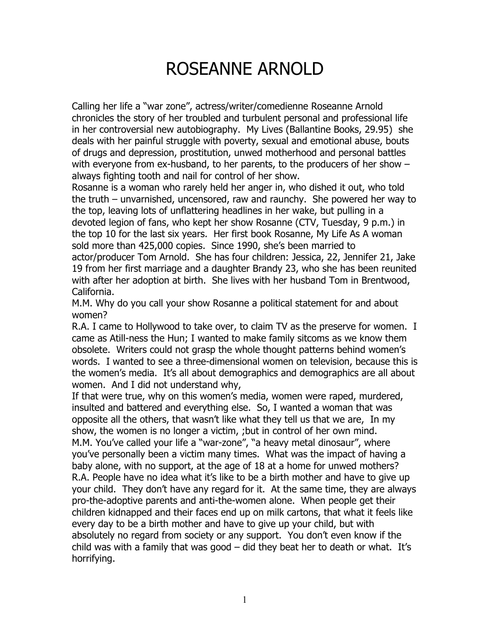## ROSEANNE ARNOLD

Calling her life a "war zone", actress/writer/comedienne Roseanne Arnold chronicles the story of her troubled and turbulent personal and professional life in her controversial new autobiography. My Lives (Ballantine Books, 29.95) she deals with her painful struggle with poverty, sexual and emotional abuse, bouts of drugs and depression, prostitution, unwed motherhood and personal battles with everyone from ex-husband, to her parents, to the producers of her show – always fighting tooth and nail for control of her show.

Rosanne is a woman who rarely held her anger in, who dished it out, who told the truth – unvarnished, uncensored, raw and raunchy. She powered her way to the top, leaving lots of unflattering headlines in her wake, but pulling in a devoted legion of fans, who kept her show Rosanne (CTV, Tuesday, 9 p.m.) in the top 10 for the last six years. Her first book Rosanne, My Life As A woman sold more than 425,000 copies. Since 1990, she's been married to actor/producer Tom Arnold. She has four children: Jessica, 22, Jennifer 21, Jake 19 from her first marriage and a daughter Brandy 23, who she has been reunited with after her adoption at birth. She lives with her husband Tom in Brentwood, California.

M.M. Why do you call your show Rosanne a political statement for and about women?

R.A. I came to Hollywood to take over, to claim TV as the preserve for women. I came as Atill-ness the Hun; I wanted to make family sitcoms as we know them obsolete. Writers could not grasp the whole thought patterns behind women's words. I wanted to see a three-dimensional women on television, because this is the women's media. It's all about demographics and demographics are all about women. And I did not understand why,

If that were true, why on this women's media, women were raped, murdered, insulted and battered and everything else. So, I wanted a woman that was opposite all the others, that wasn't like what they tell us that we are, In my show, the women is no longer a victim, ;but in control of her own mind. M.M. You've called your life a "war-zone", "a heavy metal dinosaur", where you've personally been a victim many times. What was the impact of having a baby alone, with no support, at the age of 18 at a home for unwed mothers? R.A. People have no idea what it's like to be a birth mother and have to give up your child. They don't have any regard for it. At the same time, they are always pro-the-adoptive parents and anti-the-women alone. When people get their children kidnapped and their faces end up on milk cartons, that what it feels like every day to be a birth mother and have to give up your child, but with absolutely no regard from society or any support. You don't even know if the child was with a family that was good  $-$  did they beat her to death or what. It's horrifying.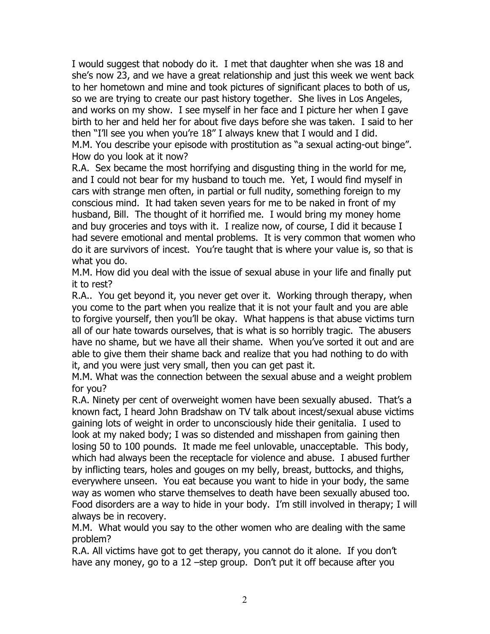I would suggest that nobody do it. I met that daughter when she was 18 and she's now 23, and we have a great relationship and just this week we went back to her hometown and mine and took pictures of significant places to both of us, so we are trying to create our past history together. She lives in Los Angeles, and works on my show. I see myself in her face and I picture her when I gave birth to her and held her for about five days before she was taken. I said to her then "I'll see you when you're 18" I always knew that I would and I did. M.M. You describe your episode with prostitution as "a sexual acting-out binge". How do you look at it now?

R.A. Sex became the most horrifying and disgusting thing in the world for me, and I could not bear for my husband to touch me. Yet, I would find myself in cars with strange men often, in partial or full nudity, something foreign to my conscious mind. It had taken seven years for me to be naked in front of my husband, Bill. The thought of it horrified me. I would bring my money home and buy groceries and toys with it. I realize now, of course, I did it because I had severe emotional and mental problems. It is very common that women who do it are survivors of incest. You're taught that is where your value is, so that is what you do.

M.M. How did you deal with the issue of sexual abuse in your life and finally put it to rest?

R.A.. You get beyond it, you never get over it. Working through therapy, when you come to the part when you realize that it is not your fault and you are able to forgive yourself, then you'll be okay. What happens is that abuse victims turn all of our hate towards ourselves, that is what is so horribly tragic. The abusers have no shame, but we have all their shame. When you've sorted it out and are able to give them their shame back and realize that you had nothing to do with it, and you were just very small, then you can get past it.

M.M. What was the connection between the sexual abuse and a weight problem for you?

R.A. Ninety per cent of overweight women have been sexually abused. That's a known fact, I heard John Bradshaw on TV talk about incest/sexual abuse victims gaining lots of weight in order to unconsciously hide their genitalia. I used to look at my naked body; I was so distended and misshapen from gaining then losing 50 to 100 pounds. It made me feel unlovable, unacceptable. This body, which had always been the receptacle for violence and abuse. I abused further by inflicting tears, holes and gouges on my belly, breast, buttocks, and thighs, everywhere unseen. You eat because you want to hide in your body, the same way as women who starve themselves to death have been sexually abused too. Food disorders are a way to hide in your body. I'm still involved in therapy; I will always be in recovery.

M.M. What would you say to the other women who are dealing with the same problem?

R.A. All victims have got to get therapy, you cannot do it alone. If you don't have any money, go to a 12 –step group. Don't put it off because after you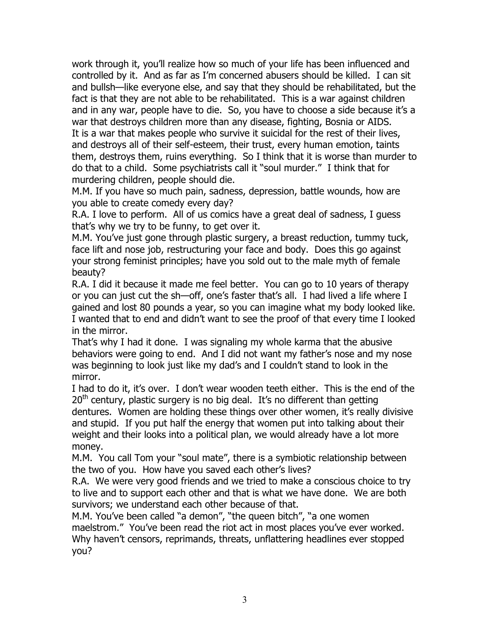work through it, you'll realize how so much of your life has been influenced and controlled by it. And as far as I'm concerned abusers should be killed. I can sit and bullsh—like everyone else, and say that they should be rehabilitated, but the fact is that they are not able to be rehabilitated. This is a war against children and in any war, people have to die. So, you have to choose a side because it's a war that destroys children more than any disease, fighting, Bosnia or AIDS. It is a war that makes people who survive it suicidal for the rest of their lives, and destroys all of their self-esteem, their trust, every human emotion, taints them, destroys them, ruins everything. So I think that it is worse than murder to do that to a child. Some psychiatrists call it "soul murder." I think that for murdering children, people should die.

M.M. If you have so much pain, sadness, depression, battle wounds, how are you able to create comedy every day?

R.A. I love to perform. All of us comics have a great deal of sadness, I guess that's why we try to be funny, to get over it.

M.M. You've just gone through plastic surgery, a breast reduction, tummy tuck, face lift and nose job, restructuring your face and body. Does this go against your strong feminist principles; have you sold out to the male myth of female beauty?

R.A. I did it because it made me feel better. You can go to 10 years of therapy or you can just cut the sh—off, one's faster that's all. I had lived a life where I gained and lost 80 pounds a year, so you can imagine what my body looked like. I wanted that to end and didn't want to see the proof of that every time I looked in the mirror.

That's why I had it done. I was signaling my whole karma that the abusive behaviors were going to end. And I did not want my father's nose and my nose was beginning to look just like my dad's and I couldn't stand to look in the mirror.

I had to do it, it's over. I don't wear wooden teeth either. This is the end of the  $20<sup>th</sup>$  century, plastic surgery is no big deal. It's no different than getting dentures. Women are holding these things over other women, it's really divisive and stupid. If you put half the energy that women put into talking about their weight and their looks into a political plan, we would already have a lot more money.

M.M. You call Tom your "soul mate", there is a symbiotic relationship between the two of you. How have you saved each other's lives?

R.A. We were very good friends and we tried to make a conscious choice to try to live and to support each other and that is what we have done. We are both survivors; we understand each other because of that.

M.M. You've been called "a demon", "the queen bitch", "a one women maelstrom." You've been read the riot act in most places you've ever worked. Why haven't censors, reprimands, threats, unflattering headlines ever stopped you?